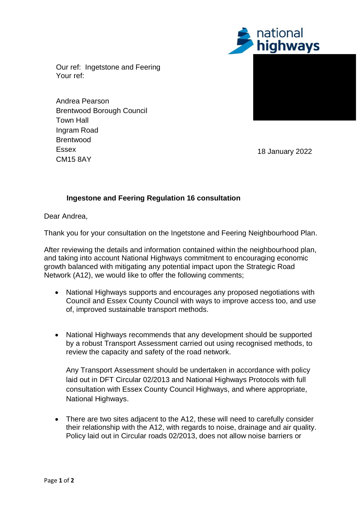

Andrea Pearson Brentwood Borough Council Town Hall Ingram Road **Brentwood** Essex CM15 8AY



national

18 January 2022

## **Ingestone and Feering Regulation 16 consultation**

Dear Andrea,

Thank you for your consultation on the Ingetstone and Feering Neighbourhood Plan.

After reviewing the details and information contained within the neighbourhood plan, and taking into account National Highways commitment to encouraging economic growth balanced with mitigating any potential impact upon the Strategic Road Network (A12), we would like to offer the following comments;

- National Highways supports and encourages any proposed negotiations with Council and Essex County Council with ways to improve access too, and use of, improved sustainable transport methods.
- National Highways recommends that any development should be supported by a robust Transport Assessment carried out using recognised methods, to review the capacity and safety of the road network.

Any Transport Assessment should be undertaken in accordance with policy laid out in DFT Circular 02/2013 and National Highways Protocols with full consultation with Essex County Council Highways, and where appropriate, National Highways.

• There are two sites adjacent to the A12, these will need to carefully consider their relationship with the A12, with regards to noise, drainage and air quality. Policy laid out in Circular roads 02/2013, does not allow noise barriers or